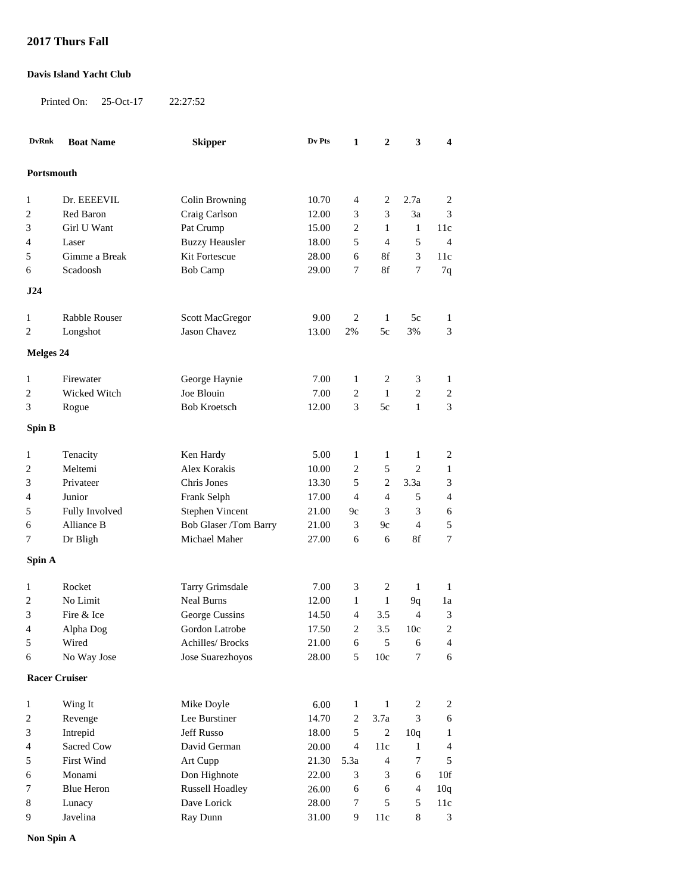## **2017 Thurs Fall**

## **Davis Island Yacht Club**

Printed On: 25-Oct-17 22:27:52

| <b>DvRnk</b>         | <b>Boat Name</b>  | <b>Skipper</b>         | Dv Pts    | $\mathbf{1}$   | $\boldsymbol{2}$ | 3              | 4              |  |
|----------------------|-------------------|------------------------|-----------|----------------|------------------|----------------|----------------|--|
|                      |                   |                        |           |                |                  |                |                |  |
| Portsmouth           |                   |                        |           |                |                  |                |                |  |
| 1                    | Dr. EEEEVIL       | Colin Browning         | $10.70\,$ | 4              | 2                | 2.7a           | 2              |  |
| 2                    | Red Baron         | Craig Carlson          | 12.00     | 3              | 3                | 3a             | 3              |  |
| 3                    | Girl U Want       | Pat Crump              | 15.00     | 2              | 1                | $\mathbf{1}$   | 11c            |  |
| 4                    | Laser             | <b>Buzzy Heausler</b>  | 18.00     | 5              | $\overline{4}$   | 5              | $\overline{4}$ |  |
| $\sqrt{5}$           | Gimme a Break     | Kit Fortescue          | 28.00     | 6              | 8f               | 3              | 11c            |  |
| 6                    | Scadoosh          | <b>Bob Camp</b>        | 29.00     | 7              | $8\mathrm{f}$    | 7              | 7q             |  |
| J24                  |                   |                        |           |                |                  |                |                |  |
| 1                    | Rabble Rouser     | Scott MacGregor        | 9.00      | $\overline{c}$ | 1                | 5c             | 1              |  |
| 2                    | Longshot          | Jason Chavez           | 13.00     | 2%             | 5c               | 3%             | 3              |  |
|                      |                   |                        |           |                |                  |                |                |  |
| <b>Melges 24</b>     |                   |                        |           |                |                  |                |                |  |
| 1                    | Firewater         | George Haynie          | 7.00      | 1              | 2                | 3              | 1              |  |
| 2                    | Wicked Witch      | Joe Blouin             | 7.00      | $\overline{c}$ | $\mathbf{1}$     | $\overline{2}$ | $\mathbf{2}$   |  |
| 3                    | Rogue             | <b>Bob Kroetsch</b>    | 12.00     | 3              | 5c               | $\mathbf{1}$   | 3              |  |
| Spin B               |                   |                        |           |                |                  |                |                |  |
| 1                    | Tenacity          | Ken Hardy              | 5.00      | 1              | 1                | 1              | 2              |  |
| 2                    | Meltemi           | Alex Korakis           | 10.00     | 2              | 5                | $\overline{c}$ | $\mathbf{1}$   |  |
| 3                    | Privateer         | Chris Jones            | 13.30     | 5              | 2                | 3.3a           | 3              |  |
| 4                    | Junior            | Frank Selph            | 17.00     | $\overline{4}$ | 4                | 5              | 4              |  |
| 5                    | Fully Involved    | <b>Stephen Vincent</b> | 21.00     | 9c             | 3                | 3              | 6              |  |
| 6                    | Alliance B        | Bob Glaser /Tom Barry  | 21.00     | 3              | 9c               | $\overline{4}$ | 5              |  |
| 7                    | Dr Bligh          | Michael Maher          | 27.00     | 6              | 6                | 8f             | 7              |  |
|                      |                   |                        |           |                |                  |                |                |  |
| Spin A               |                   |                        |           |                |                  |                |                |  |
| 1                    | Rocket            | Tarry Grimsdale        | 7.00      | 3              | 2                | $\mathbf{1}$   | $\mathbf{1}$   |  |
| 2                    | No Limit          | <b>Neal Burns</b>      | 12.00     | 1              | $\mathbf{1}$     | 9q             | 1a             |  |
| 3                    | Fire & Ice        | George Cussins         | 14.50     | 4              | 3.5              | $\overline{4}$ | 3              |  |
| 4                    | Alpha Dog         | Gordon Latrobe         | 17.50     | 2              | 3.5              | 10c            | $\mathbf{2}$   |  |
| 5                    | Wired             | Achilles/ Brocks       | 21.00     | $\epsilon$     | 5                | 6              | 4              |  |
| 6                    | No Way Jose       | Jose Suarezhoyos       | 28.00     | 5              | 10c              | $\tau$         | 6              |  |
| <b>Racer Cruiser</b> |                   |                        |           |                |                  |                |                |  |
| $\mathbf{1}$         | Wing It           | Mike Doyle             | 6.00      | $\mathbf{1}$   | 1                | 2              | 2              |  |
| 2                    | Revenge           | Lee Burstiner          | 14.70     | 2              | 3.7a             | 3              | 6              |  |
| 3                    | Intrepid          | Jeff Russo             | 18.00     | 5              | $\sqrt{2}$       | 10q            | 1              |  |
| 4                    | Sacred Cow        | David German           | 20.00     | 4              | 11c              | $\mathbf{1}$   | 4              |  |
| 5                    | <b>First Wind</b> | Art Cupp               | 21.30     | 5.3a           | $\overline{4}$   | 7              | 5              |  |
| 6                    | Monami            | Don Highnote           | 22.00     | 3              | 3                | 6              | 10f            |  |
| 7                    | <b>Blue Heron</b> | <b>Russell Hoadley</b> | 26.00     | 6              | 6                | $\overline{4}$ | 10q            |  |
| 8                    | Lunacy            | Dave Lorick            | 28.00     | 7              | 5                | 5              | 11c            |  |
| 9                    | Javelina          | Ray Dunn               | 31.00     | 9              | 11c              | 8              | 3              |  |
|                      |                   |                        |           |                |                  |                |                |  |

**Non Spin A**